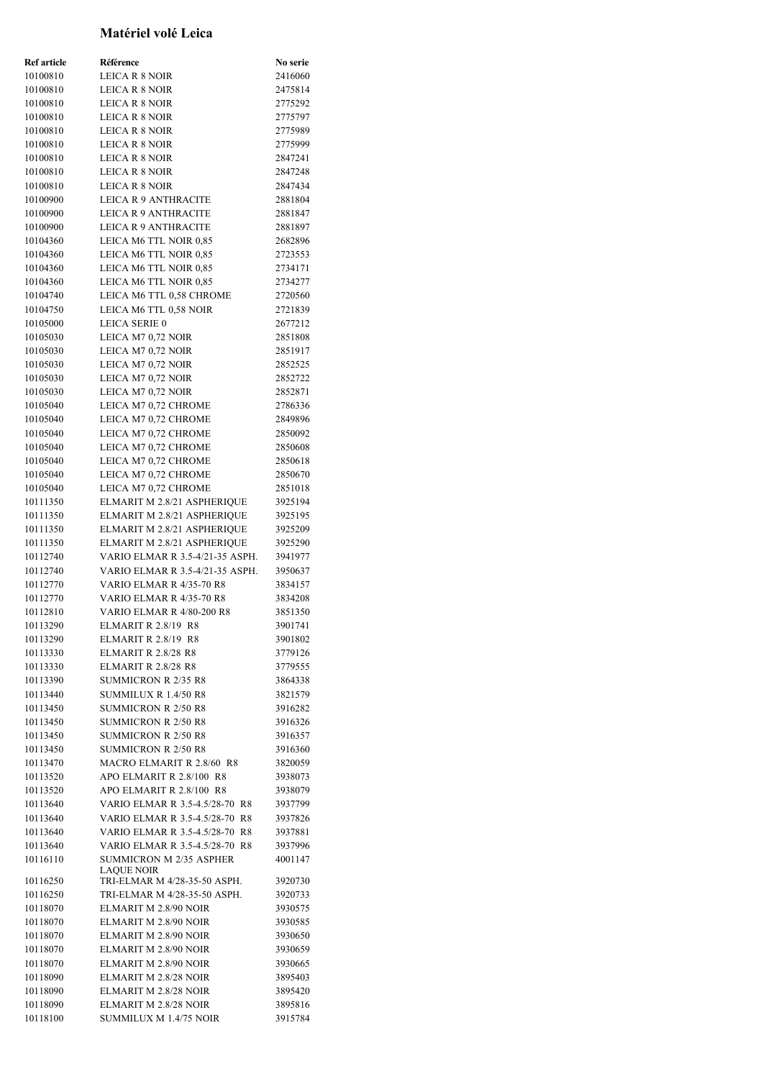| ļ                    | Matériel volé Leica                                                       | Ī                  |
|----------------------|---------------------------------------------------------------------------|--------------------|
| Ţ                    | Ţ                                                                         | ı                  |
| <b>Ref</b> article   | Référence                                                                 | No serie           |
| 10100810             | <b>LEICA R 8 NOIR</b>                                                     | 2416060            |
| 10100810             | LEICA R 8 NOIR                                                            | 2475814            |
| 10100810             | <b>LEICA R 8 NOIR</b>                                                     | 2775292            |
| 10100810<br>10100810 | <b>LEICA R 8 NOIR</b><br><b>LEICA R 8 NOIR</b>                            | 2775797<br>2775989 |
| 10100810             | <b>LEICA R 8 NOIR</b>                                                     | 2775999            |
| 10100810             | <b>LEICA R 8 NOIR</b>                                                     | 2847241            |
| 10100810             | <b>LEICA R 8 NOIR</b>                                                     | 2847248            |
| 10100810             | <b>LEICA R 8 NOIR</b>                                                     | 2847434            |
| 10100900             | <b>LEICA R 9 ANTHRACITE</b>                                               | 2881804            |
| 10100900             | <b>LEICA R 9 ANTHRACITE</b>                                               | 2881847            |
| 10100900             | <b>LEICA R 9 ANTHRACITE</b>                                               | 2881897<br>2682896 |
| 10104360<br>10104360 | LEICA M6 TTL NOIR 0,85<br>LEICA M6 TTL NOIR 0,85                          | 2723553            |
| 10104360             | LEICA M6 TTL NOIR 0,85                                                    | 2734171            |
| 10104360             | LEICA M6 TTL NOIR 0,85                                                    | 2734277            |
| 10104740             | LEICA M6 TTL 0.58 CHROME                                                  | 2720560            |
| 10104750             | LEICA M6 TTL 0,58 NOIR                                                    | 2721839            |
| 10105000             | <b>LEICA SERIE 0</b>                                                      | 2677212            |
| 10105030             | LEICA M7 0,72 NOIR                                                        | 2851808            |
| 10105030<br>10105030 | LEICA M7 0,72 NOIR<br>LEICA M7 0,72 NOIR                                  | 2851917<br>2852525 |
| 10105030             | LEICA M7 0,72 NOIR                                                        | 2852722            |
| 10105030             | LEICA M7 0,72 NOIR                                                        | 2852871            |
| 10105040             | LEICA M7 0,72 CHROME                                                      | 2786336            |
| 10105040             | LEICA M7 0,72 CHROME                                                      | 2849896            |
| 10105040             | LEICA M7 0,72 CHROME                                                      | 2850092            |
| 10105040             | LEICA M7 0,72 CHROME                                                      | 2850608            |
| 10105040<br>10105040 | LEICA M7 0,72 CHROME                                                      | 2850618<br>2850670 |
| 10105040             | LEICA M7 0,72 CHROME<br>LEICA M7 0,72 CHROME                              | 2851018            |
| 10111350             | ELMARIT M 2.8/21 ASPHERIQUE                                               | 3925194            |
| 10111350             | ELMARIT M 2.8/21 ASPHERIQUE                                               | 3925195            |
| 10111350             | ELMARIT M 2.8/21 ASPHERIQUE                                               | 3925209            |
| 10111350             | ELMARIT M 2.8/21 ASPHERIQUE                                               | 3925290            |
| 10112740             | VARIO ELMAR R 3.5-4/21-35 ASPH.                                           | 3941977            |
| 10112740<br>10112770 | <b>VARIO ELMAR R 3.5-4/21-35 ASPH.</b><br><b>VARIO ELMAR R 4/35-70 R8</b> | 3950637<br>3834157 |
| 10112770             | VARIO ELMAR R 4/35-70 R8                                                  | 3834208            |
| 10112810             | VARIO ELMAR R 4/80-200 R8                                                 | 3851350            |
| 10113290             | <b>ELMARIT R 2.8/19 R8</b>                                                | 3901741            |
| 10113290             | <b>ELMARIT R 2.8/19 R8</b>                                                | 3901802            |
| 10113330             | <b>ELMARIT R 2.8/28 R8</b>                                                | 3779126            |
| 10113330             | <b>ELMARIT R 2.8/28 R8</b>                                                | 3779555            |
| 10113390<br>10113440 | <b>SUMMICRON R 2/35 R8</b><br>SUMMILUX R 1.4/50 R8                        | 3864338<br>3821579 |
| 10113450             | <b>SUMMICRON R 2/50 R8</b>                                                | 3916282            |
| 10113450             | <b>SUMMICRON R 2/50 R8</b>                                                | 3916326            |
| 10113450             | <b>SUMMICRON R 2/50 R8</b>                                                | 3916357            |
| 10113450             | <b>SUMMICRON R 2/50 R8</b>                                                | 3916360            |
| 10113470             | MACRO ELMARIT R 2.8/60 R8                                                 | 3820059            |
| 10113520             | APO ELMARIT R 2.8/100 R8                                                  | 3938073            |
| 10113520<br>10113640 | APO ELMARIT R 2.8/100 R8<br>VARIO ELMAR R 3.5-4.5/28-70 R8                | 3938079<br>3937799 |
| 10113640             | VARIO ELMAR R 3.5-4.5/28-70 R8                                            | 3937826            |
| 10113640             | VARIO ELMAR R 3.5-4.5/28-70 R8                                            | 3937881            |
| 10113640             | VARIO ELMAR R 3.5-4.5/28-70 R8                                            | 3937996            |
| 10116110             | SUMMICRON M 2/35 ASPHER                                                   | 4001147            |
| 10116250             | <b>LAQUE NOIR</b><br>TRI-ELMAR M 4/28-35-50 ASPH.                         | 3920730            |
| 10116250             | TRI-ELMAR M 4/28-35-50 ASPH.                                              | 3920733            |
| 10118070             | ELMARIT M 2.8/90 NOIR                                                     | 3930575            |
| 10118070             | ELMARIT M 2.8/90 NOIR                                                     | 3930585            |
| 10118070             | ELMARIT M 2.8/90 NOIR                                                     | 3930650            |
| 10118070<br>10118070 | ELMARIT M 2.8/90 NOIR<br>ELMARIT M 2.8/90 NOIR                            | 3930659<br>3930665 |
| 10118090             | ELMARIT M 2.8/28 NOIR                                                     | 3895403            |
| 10118090             | ELMARIT M 2.8/28 NOIR                                                     | 3895420            |
| 10118090             | ELMARIT M 2.8/28 NOIR                                                     | 3895816            |
| 10118100             | <b>SUMMILUX M 1.4/75 NOIR</b>                                             | 3915784            |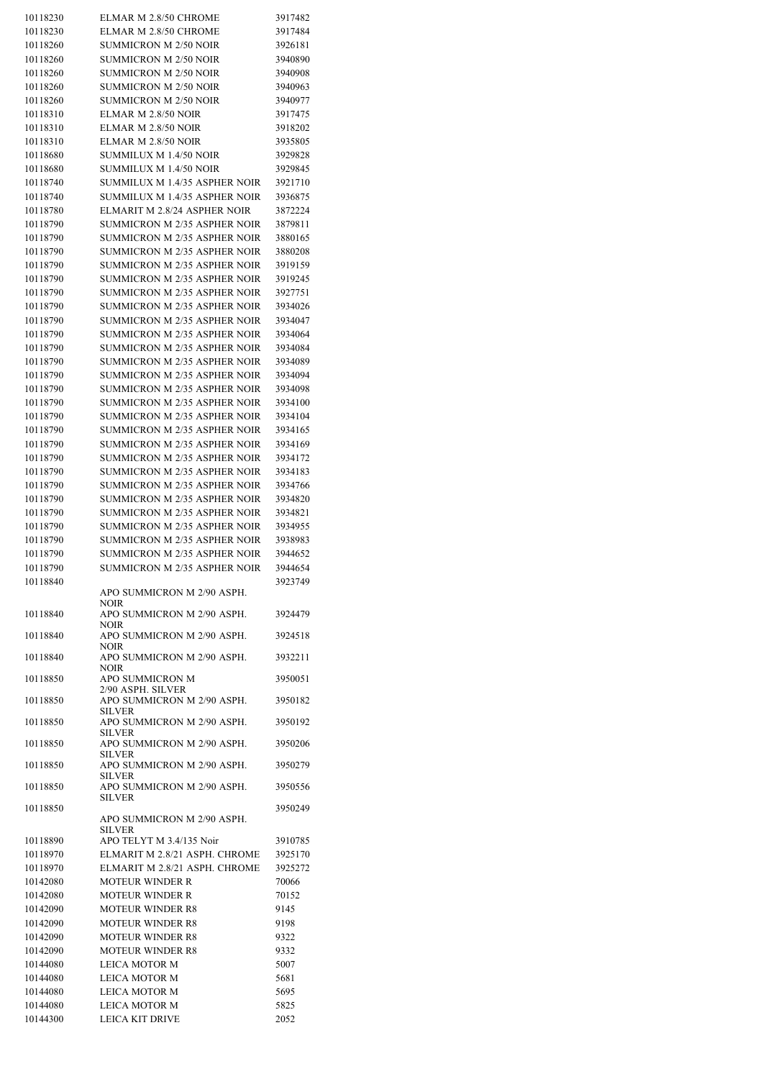| 10118230<br>10118230 |                                     |         |
|----------------------|-------------------------------------|---------|
|                      | ELMAR M 2.8/50 CHROME               | 3917482 |
|                      | ELMAR M 2.8/50 CHROME               | 3917484 |
|                      |                                     |         |
| 10118260             | <b>SUMMICRON M 2/50 NOIR</b>        | 3926181 |
| 10118260             | <b>SUMMICRON M 2/50 NOIR</b>        | 3940890 |
|                      |                                     |         |
| 10118260             | <b>SUMMICRON M 2/50 NOIR</b>        | 3940908 |
| 10118260             | <b>SUMMICRON M 2/50 NOIR</b>        | 3940963 |
| 10118260             | <b>SUMMICRON M 2/50 NOIR</b>        | 3940977 |
|                      |                                     |         |
| 10118310             | ELMAR M 2.8/50 NOIR                 | 3917475 |
| 10118310             | ELMAR M 2.8/50 NOIR                 | 3918202 |
|                      |                                     |         |
| 10118310             | ELMAR M 2.8/50 NOIR                 | 3935805 |
| 10118680             | SUMMILUX M 1.4/50 NOIR              | 3929828 |
|                      |                                     |         |
| 10118680             | SUMMILUX M 1.4/50 NOIR              | 3929845 |
| 10118740             | SUMMILUX M 1.4/35 ASPHER NOIR       | 3921710 |
|                      |                                     |         |
| 10118740             | SUMMILUX M 1.4/35 ASPHER NOIR       | 3936875 |
| 10118780             | ELMARIT M 2.8/24 ASPHER NOIR        | 3872224 |
| 10118790             | <b>SUMMICRON M 2/35 ASPHER NOIR</b> | 3879811 |
|                      |                                     |         |
| 10118790             | <b>SUMMICRON M 2/35 ASPHER NOIR</b> | 3880165 |
| 10118790             | SUMMICRON M 2/35 ASPHER NOIR        | 3880208 |
|                      |                                     |         |
| 10118790             | <b>SUMMICRON M 2/35 ASPHER NOIR</b> | 3919159 |
| 10118790             | <b>SUMMICRON M 2/35 ASPHER NOIR</b> | 3919245 |
|                      |                                     |         |
| 10118790             | SUMMICRON M 2/35 ASPHER NOIR        | 3927751 |
| 10118790             | SUMMICRON M 2/35 ASPHER NOIR        | 3934026 |
| 10118790             | <b>SUMMICRON M 2/35 ASPHER NOIR</b> | 3934047 |
|                      |                                     |         |
| 10118790             | <b>SUMMICRON M 2/35 ASPHER NOIR</b> | 3934064 |
| 10118790             | <b>SUMMICRON M 2/35 ASPHER NOIR</b> | 3934084 |
|                      |                                     |         |
| 10118790             | <b>SUMMICRON M 2/35 ASPHER NOIR</b> | 3934089 |
| 10118790             | <b>SUMMICRON M 2/35 ASPHER NOIR</b> | 3934094 |
|                      |                                     |         |
| 10118790             | <b>SUMMICRON M 2/35 ASPHER NOIR</b> | 3934098 |
| 10118790             | <b>SUMMICRON M 2/35 ASPHER NOIR</b> | 3934100 |
|                      |                                     |         |
| 10118790             | <b>SUMMICRON M 2/35 ASPHER NOIR</b> | 3934104 |
| 10118790             | <b>SUMMICRON M 2/35 ASPHER NOIR</b> | 3934165 |
| 10118790             | <b>SUMMICRON M 2/35 ASPHER NOIR</b> | 3934169 |
|                      |                                     |         |
| 10118790             | <b>SUMMICRON M 2/35 ASPHER NOIR</b> | 3934172 |
| 10118790             | <b>SUMMICRON M 2/35 ASPHER NOIR</b> | 3934183 |
|                      |                                     |         |
| 10118790             | <b>SUMMICRON M 2/35 ASPHER NOIR</b> | 3934766 |
| 10118790             | SUMMICRON M 2/35 ASPHER NOIR        | 3934820 |
|                      |                                     |         |
| 10118790             | <b>SUMMICRON M 2/35 ASPHER NOIR</b> | 3934821 |
| 10118790             | <b>SUMMICRON M 2/35 ASPHER NOIR</b> | 3934955 |
| 10118790             | <b>SUMMICRON M 2/35 ASPHER NOIR</b> | 3938983 |
|                      |                                     |         |
| 10118790             | SUMMICRON M 2/35 ASPHER NOIR        | 3944652 |
| 10118790             | SUMMICRON M 2/35 ASPHER NOIR        |         |
|                      |                                     |         |
|                      |                                     | 3944654 |
| 10118840             |                                     | 3923749 |
|                      | APO SUMMICRON M 2/90 ASPH.          |         |
|                      | NOIR                                |         |
|                      |                                     |         |
| 10118840             | APO SUMMICRON M 2/90 ASPH.          | 3924479 |
|                      | NOIR                                |         |
| 10118840             | APO SUMMICRON M 2/90 ASPH.          | 3924518 |
|                      | NOIR                                |         |
| 10118840             | APO SUMMICRON M 2/90 ASPH.          | 3932211 |
|                      | <b>NOIR</b>                         |         |
| 10118850             | APO SUMMICRON M                     | 3950051 |
|                      | 2/90 ASPH. SILVER                   |         |
| 10118850             | APO SUMMICRON M 2/90 ASPH.          | 3950182 |
|                      |                                     |         |
|                      | <b>SILVER</b>                       |         |
| 10118850             | APO SUMMICRON M 2/90 ASPH.          | 3950192 |
|                      | <b>SILVER</b>                       |         |
| 10118850             | APO SUMMICRON M 2/90 ASPH.          | 3950206 |
|                      | <b>SILVER</b>                       |         |
| 10118850             | APO SUMMICRON M 2/90 ASPH.          | 3950279 |
|                      | <b>SILVER</b>                       |         |
| 10118850             | APO SUMMICRON M 2/90 ASPH.          | 3950556 |
|                      |                                     |         |
|                      | <b>SILVER</b>                       |         |
| 10118850             |                                     | 3950249 |
|                      | APO SUMMICRON M 2/90 ASPH.          |         |
|                      | <b>SILVER</b>                       |         |
| 10118890             | APO TELYT M 3.4/135 Noir            | 3910785 |
| 10118970             | ELMARIT M 2.8/21 ASPH. CHROME       | 3925170 |
|                      |                                     |         |
| 10118970             | ELMARIT M 2.8/21 ASPH. CHROME       | 3925272 |
| 10142080             | <b>MOTEUR WINDER R</b>              | 70066   |
|                      |                                     |         |
| 10142080             | <b>MOTEUR WINDER R</b>              | 70152   |
| 10142090             | <b>MOTEUR WINDER R8</b>             | 9145    |
| 10142090             | <b>MOTEUR WINDER R8</b>             | 9198    |
|                      |                                     |         |
| 10142090             | <b>MOTEUR WINDER R8</b>             | 9322    |
| 10142090             | <b>MOTEUR WINDER R8</b>             | 9332    |
|                      |                                     |         |
| 10144080             | LEICA MOTOR M                       | 5007    |
| 10144080             | LEICA MOTOR M                       | 5681    |
|                      |                                     |         |
| 10144080             | LEICA MOTOR M                       | 5695    |
| 10144080             | LEICA MOTOR M                       | 5825    |
| 10144300             | <b>LEICA KIT DRIVE</b>              | 2052    |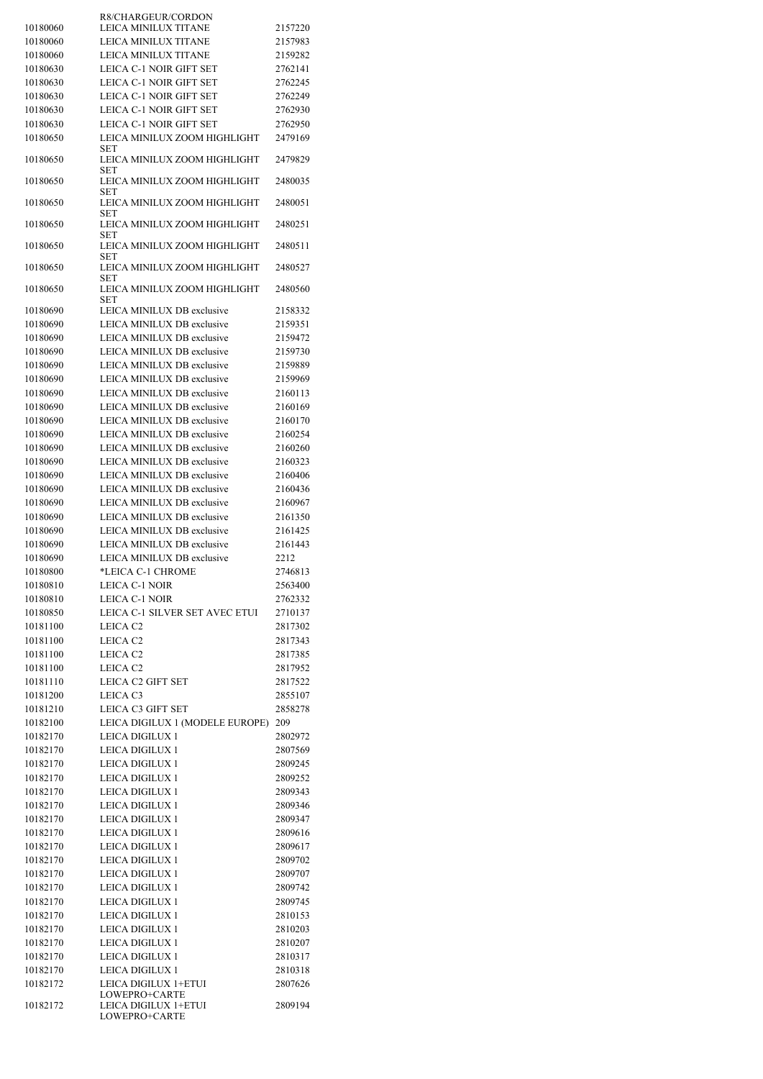|                      | R8/CHARGEUR/CORDON                        |                    |
|----------------------|-------------------------------------------|--------------------|
| 10180060             | LEICA MINILUX TITANE                      | 2157220            |
| 10180060             | LEICA MINILUX TITANE                      | 2157983            |
| 10180060             | LEICA MINILUX TITANE                      | 2159282            |
| 10180630             | LEICA C-1 NOIR GIFT SET                   | 2762141            |
| 10180630             | LEICA C-1 NOIR GIFT SET                   | 2762245            |
| 10180630             | LEICA C-1 NOIR GIFT SET                   | 2762249            |
| 10180630             | LEICA C-1 NOIR GIFT SET                   | 2762930            |
| 10180630             | LEICA C-1 NOIR GIFT SET                   | 2762950            |
| 10180650             | LEICA MINILUX ZOOM HIGHLIGHT<br>SET       | 2479169            |
| 10180650             | LEICA MINILUX ZOOM HIGHLIGHT<br>SET       | 2479829            |
| 10180650             | LEICA MINILUX ZOOM HIGHLIGHT<br>SET       | 2480035            |
| 10180650             | LEICA MINILUX ZOOM HIGHLIGHT<br>SET       | 2480051            |
| 10180650             | LEICA MINILUX ZOOM HIGHLIGHT<br>SET       | 2480251            |
| 10180650             | LEICA MINILUX ZOOM HIGHLIGHT<br>SET       | 2480511            |
| 10180650             | LEICA MINILUX ZOOM HIGHLIGHT<br>SET       | 2480527            |
| 10180650             | LEICA MINILUX ZOOM HIGHLIGHT<br>SET       | 2480560            |
| 10180690             | LEICA MINILUX DB exclusive                | 2158332            |
| 10180690             | LEICA MINILUX DB exclusive                | 2159351            |
| 10180690             | LEICA MINILUX DB exclusive                | 2159472            |
| 10180690             | LEICA MINILUX DB exclusive                | 2159730            |
| 10180690             | LEICA MINILUX DB exclusive                | 2159889            |
| 10180690             | LEICA MINILUX DB exclusive                | 2159969            |
| 10180690             | LEICA MINILUX DB exclusive                | 2160113            |
| 10180690             | LEICA MINILUX DB exclusive                | 2160169            |
| 10180690             | LEICA MINILUX DB exclusive                | 2160170            |
| 10180690             | LEICA MINILUX DB exclusive                | 2160254            |
| 10180690             | LEICA MINILUX DB exclusive                | 2160260            |
| 10180690             | LEICA MINILUX DB exclusive                | 2160323            |
| 10180690             | LEICA MINILUX DB exclusive                | 2160406            |
| 10180690             | LEICA MINILUX DB exclusive                | 2160436            |
| 10180690             | LEICA MINILUX DB exclusive                | 2160967            |
| 10180690             | LEICA MINILUX DB exclusive                | 2161350            |
| 10180690             | LEICA MINILUX DB exclusive                | 2161425            |
| 10180690             | LEICA MINILUX DB exclusive                | 2161443            |
| 10180690             | LEICA MINILUX DB exclusive                | 2212               |
| 10180800             | *LEICA C-1 CHROME                         | 2746813            |
| 10180810             | LEICA C-1 NOIR                            | 2563400            |
| 10180810             | <b>LEICA C-1 NOIR</b>                     | 2762332            |
| 10180850             | LEICA C-1 SILVER SET AVEC ETUI            | 2710137            |
| 10181100             | LEICA C <sub>2</sub>                      | 2817302            |
| 10181100             | LEICA C <sub>2</sub>                      | 2817343            |
| 10181100             | LEICA C <sub>2</sub>                      | 2817385            |
| 10181100             | LEICA C <sub>2</sub>                      | 2817952            |
| 10181110             | LEICA C2 GIFT SET                         | 2817522            |
| 10181200             | LEICA C3                                  | 2855107            |
| 10181210             | LEICA C3 GIFT SET                         | 2858278            |
| 10182100             | LEICA DIGILUX 1 (MODELE EUROPE)           | 209                |
| 10182170             | LEICA DIGILUX 1                           | 2802972            |
| 10182170             | LEICA DIGILUX 1                           | 2807569            |
| 10182170             | LEICA DIGILUX 1                           | 2809245            |
| 10182170             | LEICA DIGILUX 1                           | 2809252            |
| 10182170             | <b>LEICA DIGILUX 1</b>                    | 2809343            |
| 10182170             | <b>LEICA DIGILUX 1</b>                    | 2809346            |
| 10182170             | <b>LEICA DIGILUX 1</b>                    | 2809347            |
| 10182170             | <b>LEICA DIGILUX 1</b>                    | 2809616            |
| 10182170             | LEICA DIGILUX 1                           | 2809617            |
| 10182170             | LEICA DIGILUX 1                           | 2809702            |
| 10182170             | <b>LEICA DIGILUX 1</b>                    | 2809707            |
| 10182170             | <b>LEICA DIGILUX 1</b>                    | 2809742            |
| 10182170<br>10182170 | LEICA DIGILUX 1<br><b>LEICA DIGILUX 1</b> | 2809745<br>2810153 |
| 10182170             | LEICA DIGILUX 1                           | 2810203            |
| 10182170             | LEICA DIGILUX 1                           | 2810207            |
| 10182170             | LEICA DIGILUX 1                           | 2810317            |
| 10182170             | <b>LEICA DIGILUX 1</b>                    | 2810318            |
| 10182172             | LEICA DIGILUX 1+ETUI                      | 2807626            |
|                      | LOWEPRO+CARTE                             |                    |
| 10182172             | LEICA DIGILUX 1+ETUI<br>LOWEPRO+CARTE     | 2809194            |
|                      |                                           |                    |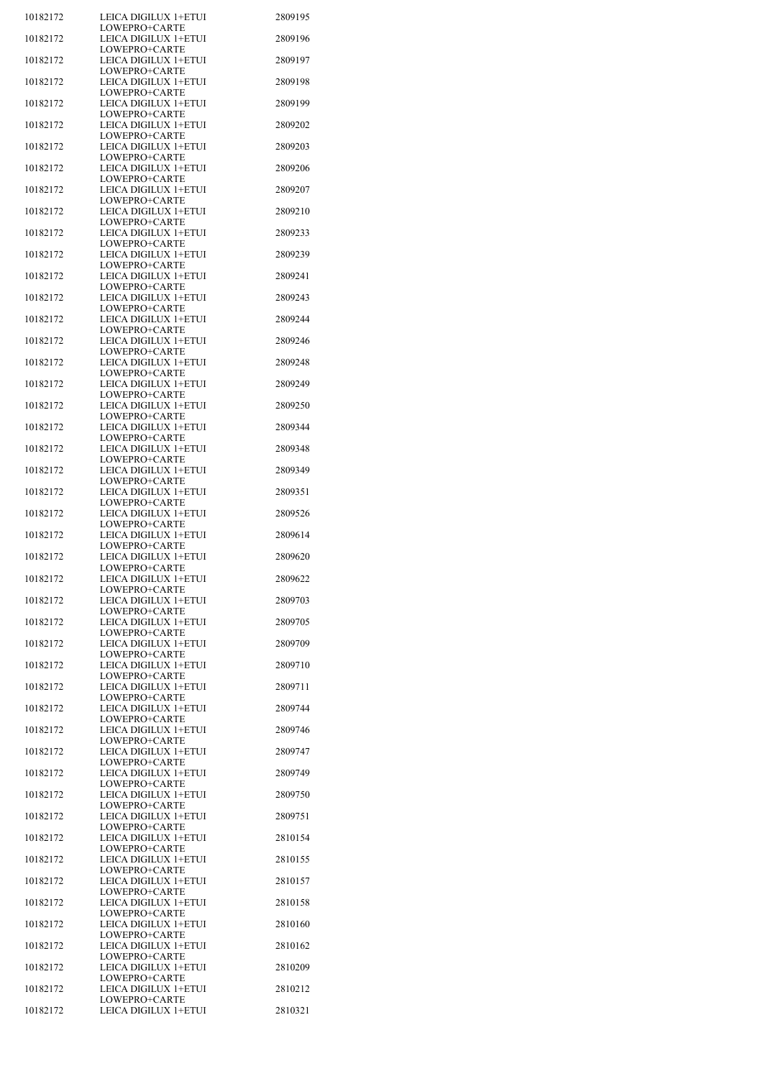| 10182172 | LEICA DIGILUX 1+ETUI<br>LOWEPRO+CARTE | 2809195 |
|----------|---------------------------------------|---------|
| 10182172 | LEICA DIGILUX 1+ETUI                  | 2809196 |
| 10182172 | LOWEPRO+CARTE<br>LEICA DIGILUX 1+ETUI | 2809197 |
| 10182172 | LOWEPRO+CARTE<br>LEICA DIGILUX 1+ETUI | 2809198 |
| 10182172 | LOWEPRO+CARTE<br>LEICA DIGILUX 1+ETUI | 2809199 |
| 10182172 | LOWEPRO+CARTE<br>LEICA DIGILUX 1+ETUI | 2809202 |
| 10182172 | LOWEPRO+CARTE<br>LEICA DIGILUX 1+ETUI | 2809203 |
| 10182172 | LOWEPRO+CARTE<br>LEICA DIGILUX 1+ETUI | 2809206 |
| 10182172 | LOWEPRO+CARTE<br>LEICA DIGILUX 1+ETUI | 2809207 |
| 10182172 | LOWEPRO+CARTE<br>LEICA DIGILUX 1+ETUI | 2809210 |
| 10182172 | LOWEPRO+CARTE<br>LEICA DIGILUX 1+ETUI | 2809233 |
| 10182172 | LOWEPRO+CARTE<br>LEICA DIGILUX 1+ETUI | 2809239 |
| 10182172 | LOWEPRO+CARTE<br>LEICA DIGILUX 1+ETUI | 2809241 |
| 10182172 | LOWEPRO+CARTE<br>LEICA DIGILUX 1+ETUI | 2809243 |
| 10182172 | LOWEPRO+CARTE<br>LEICA DIGILUX 1+ETUI | 2809244 |
| 10182172 | LOWEPRO+CARTE<br>LEICA DIGILUX 1+ETUI | 2809246 |
| 10182172 | LOWEPRO+CARTE<br>LEICA DIGILUX 1+ETUI | 2809248 |
| 10182172 | LOWEPRO+CARTE<br>LEICA DIGILUX 1+ETUI | 2809249 |
| 10182172 | LOWEPRO+CARTE<br>LEICA DIGILUX 1+ETUI | 2809250 |
| 10182172 | LOWEPRO+CARTE<br>LEICA DIGILUX 1+ETUI | 2809344 |
| 10182172 | LOWEPRO+CARTE<br>LEICA DIGILUX 1+ETUI | 2809348 |
| 10182172 | LOWEPRO+CARTE<br>LEICA DIGILUX 1+ETUI | 2809349 |
| 10182172 | LOWEPRO+CARTE<br>LEICA DIGILUX 1+ETUI | 2809351 |
| 10182172 | LOWEPRO+CARTE<br>LEICA DIGILUX 1+ETUI | 2809526 |
| 10182172 | LOWEPRO+CARTE<br>LEICA DIGILUX 1+ETUI | 2809614 |
| 10182172 | LOWEPRO+CARTE<br>LEICA DIGILUX 1+ETUI | 2809620 |
|          | LOWEPRO+CARTE<br>LEICA DIGILUX 1+ETUI | 2809622 |
| 10182172 | LOWEPRO+CARTE<br>LEICA DIGILUX 1+ETUI | 2809703 |
| 10182172 | LOWEPRO+CARTE                         |         |
| 10182172 | LEICA DIGILUX 1+ETUI<br>LOWEPRO+CARTE | 2809705 |
| 10182172 | LEICA DIGILUX 1+ETUI<br>LOWEPRO+CARTE | 2809709 |
| 10182172 | LEICA DIGILUX 1+ETUI<br>LOWEPRO+CARTE | 2809710 |
| 10182172 | LEICA DIGILUX 1+ETUI<br>LOWEPRO+CARTE | 2809711 |
| 10182172 | LEICA DIGILUX 1+ETUI<br>LOWEPRO+CARTE | 2809744 |
| 10182172 | LEICA DIGILUX 1+ETUI<br>LOWEPRO+CARTE | 2809746 |
| 10182172 | LEICA DIGILUX 1+ETUI<br>LOWEPRO+CARTE | 2809747 |
| 10182172 | LEICA DIGILUX 1+ETUI<br>LOWEPRO+CARTE | 2809749 |
| 10182172 | LEICA DIGILUX 1+ETUI<br>LOWEPRO+CARTE | 2809750 |
| 10182172 | LEICA DIGILUX 1+ETUI<br>LOWEPRO+CARTE | 2809751 |
| 10182172 | LEICA DIGILUX 1+ETUI<br>LOWEPRO+CARTE | 2810154 |
| 10182172 | LEICA DIGILUX 1+ETUI<br>LOWEPRO+CARTE | 2810155 |
| 10182172 | LEICA DIGILUX 1+ETUI<br>LOWEPRO+CARTE | 2810157 |
| 10182172 | LEICA DIGILUX 1+ETUI<br>LOWEPRO+CARTE | 2810158 |
| 10182172 | LEICA DIGILUX 1+ETUI<br>LOWEPRO+CARTE | 2810160 |
| 10182172 | LEICA DIGILUX 1+ETUI<br>LOWEPRO+CARTE | 2810162 |
| 10182172 | LEICA DIGILUX 1+ETUI<br>LOWEPRO+CARTE | 2810209 |
| 10182172 | LEICA DIGILUX 1+ETUI<br>LOWEPRO+CARTE | 2810212 |
| 10182172 | LEICA DIGILUX 1+ETUI                  | 2810321 |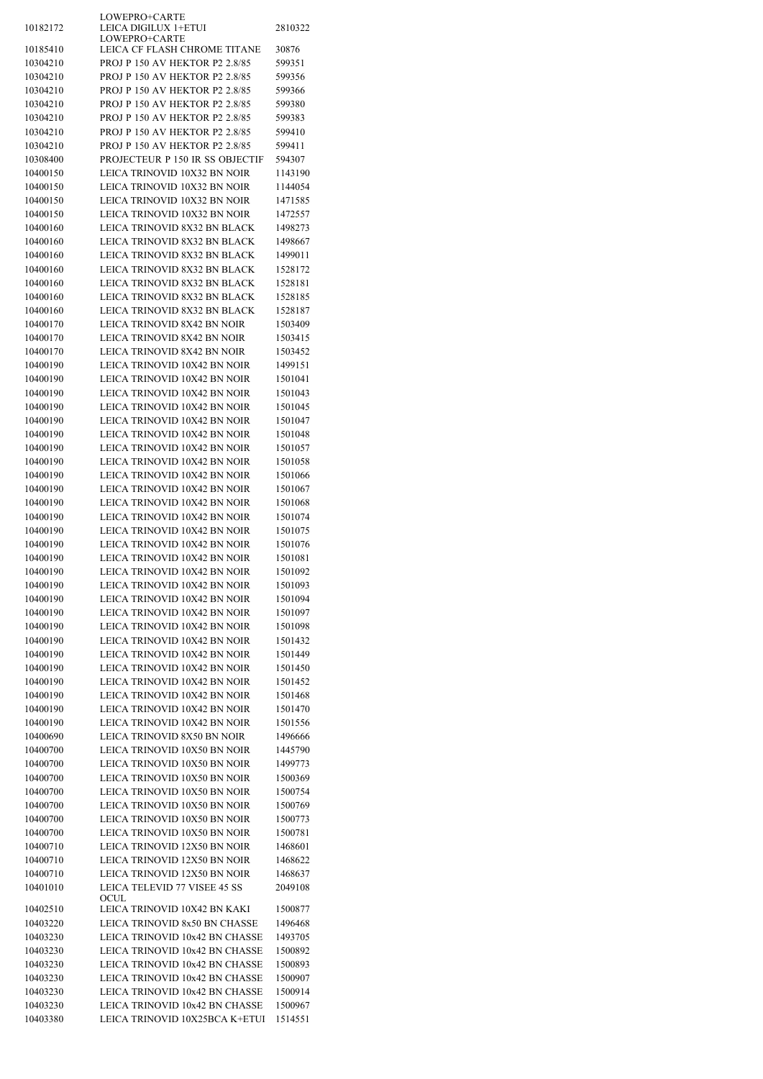|                      | LOWEPRO+CARTE                                                   |                    |
|----------------------|-----------------------------------------------------------------|--------------------|
| 10182172             | LEICA DIGILUX 1+ETUI<br>LOWEPRO+CARTE                           | 2810322            |
| 10185410             | LEICA CF FLASH CHROME TITANE                                    | 30876              |
| 10304210             | PROJ P 150 AV HEKTOR P2 2.8/85                                  | 599351             |
| 10304210             | PROJ P 150 AV HEKTOR P2 2.8/85                                  | 599356             |
| 10304210             | PROJ P 150 AV HEKTOR P2 2.8/85                                  | 599366             |
| 10304210             | PROJ P 150 AV HEKTOR P2 2.8/85                                  | 599380             |
| 10304210             | PROJ P 150 AV HEKTOR P2 2.8/85                                  | 599383             |
| 10304210             | PROJ P 150 AV HEKTOR P2 2.8/85                                  | 599410             |
| 10304210             | PROJ P 150 AV HEKTOR P2 2.8/85                                  | 599411             |
| 10308400             | PROJECTEUR P 150 IR SS OBJECTIF                                 | 594307             |
| 10400150             | LEICA TRINOVID 10X32 BN NOIR                                    | 1143190            |
| 10400150             | LEICA TRINOVID 10X32 BN NOIR                                    | 1144054            |
| 10400150             | LEICA TRINOVID 10X32 BN NOIR                                    | 1471585            |
| 10400150             | LEICA TRINOVID 10X32 BN NOIR                                    | 1472557            |
| 10400160             | LEICA TRINOVID 8X32 BN BLACK                                    | 1498273            |
| 10400160             | LEICA TRINOVID 8X32 BN BLACK                                    | 1498667            |
| 10400160             | LEICA TRINOVID 8X32 BN BLACK                                    | 1499011            |
| 10400160             | LEICA TRINOVID 8X32 BN BLACK                                    | 1528172            |
| 10400160             | LEICA TRINOVID 8X32 BN BLACK                                    | 1528181            |
| 10400160             | LEICA TRINOVID 8X32 BN BLACK                                    | 1528185            |
| 10400160             | LEICA TRINOVID 8X32 BN BLACK                                    | 1528187            |
| 10400170             | LEICA TRINOVID 8X42 BN NOIR                                     | 1503409            |
| 10400170             | LEICA TRINOVID 8X42 BN NOIR                                     | 1503415            |
| 10400170             | LEICA TRINOVID 8X42 BN NOIR                                     | 1503452            |
| 10400190             | LEICA TRINOVID 10X42 BN NOIR                                    | 1499151            |
| 10400190             | LEICA TRINOVID 10X42 BN NOIR                                    | 1501041            |
| 10400190             | LEICA TRINOVID 10X42 BN NOIR                                    | 1501043            |
| 10400190             | LEICA TRINOVID 10X42 BN NOIR                                    | 1501045            |
| 10400190             | LEICA TRINOVID 10X42 BN NOIR                                    | 1501047            |
| 10400190             | LEICA TRINOVID 10X42 BN NOIR                                    | 1501048            |
| 10400190             | LEICA TRINOVID 10X42 BN NOIR                                    | 1501057            |
| 10400190             | LEICA TRINOVID 10X42 BN NOIR                                    | 1501058            |
| 10400190             | LEICA TRINOVID 10X42 BN NOIR                                    | 1501066            |
| 10400190             | LEICA TRINOVID 10X42 BN NOIR                                    | 1501067            |
| 10400190             | LEICA TRINOVID 10X42 BN NOIR                                    | 1501068            |
| 10400190             | LEICA TRINOVID 10X42 BN NOIR                                    | 1501074            |
| 10400190             | LEICA TRINOVID 10X42 BN NOIR                                    | 1501075            |
| 10400190             | LEICA TRINOVID 10X42 BN NOIR                                    | 1501076            |
| 10400190<br>10400190 | LEICA TRINOVID 10X42 BN NOIR<br>LEICA TRINOVID 10X42 BN NOIR    | 1501081<br>1501092 |
|                      |                                                                 |                    |
| 10400190<br>10400190 | LEICA TRINOVID 10X42 BN NOIR<br>LEICA TRINOVID 10X42 BN NOIR    | 1501093<br>1501094 |
| 10400190             | LEICA TRINOVID 10X42 BN NOIR                                    | 1501097            |
| 10400190             | LEICA TRINOVID 10X42 BN NOIR                                    | 1501098            |
| 10400190             | LEICA TRINOVID 10X42 BN NOIR                                    | 1501432            |
| 10400190             | <b>LEICA TRINOVID 10X42 BN NOIR</b>                             | 1501449            |
| 10400190             | LEICA TRINOVID 10X42 BN NOIR                                    | 1501450            |
| 10400190             | LEICA TRINOVID 10X42 BN NOIR                                    | 1501452            |
| 10400190             | LEICA TRINOVID 10X42 BN NOIR                                    | 1501468            |
| 10400190             | LEICA TRINOVID 10X42 BN NOIR                                    | 1501470            |
| 10400190             | LEICA TRINOVID 10X42 BN NOIR                                    | 1501556            |
| 10400690             | LEICA TRINOVID 8X50 BN NOIR                                     | 1496666            |
| 10400700             | LEICA TRINOVID 10X50 BN NOIR                                    | 1445790            |
| 10400700             | LEICA TRINOVID 10X50 BN NOIR                                    | 1499773            |
| 10400700             | LEICA TRINOVID 10X50 BN NOIR                                    | 1500369            |
| 10400700             | LEICA TRINOVID 10X50 BN NOIR                                    | 1500754            |
| 10400700             | LEICA TRINOVID 10X50 BN NOIR                                    | 1500769            |
| 10400700             | LEICA TRINOVID 10X50 BN NOIR                                    | 1500773            |
| 10400700             | LEICA TRINOVID 10X50 BN NOIR                                    | 1500781            |
| 10400710             | LEICA TRINOVID 12X50 BN NOIR                                    | 1468601            |
| 10400710             | LEICA TRINOVID 12X50 BN NOIR                                    | 1468622            |
| 10400710             | LEICA TRINOVID 12X50 BN NOIR                                    | 1468637            |
| 10401010             | LEICA TELEVID 77 VISEE 45 SS                                    | 2049108            |
|                      | OCUL                                                            |                    |
| 10402510             | LEICA TRINOVID 10X42 BN KAKI                                    | 1500877            |
| 10403220<br>10403230 | LEICA TRINOVID 8x50 BN CHASSE<br>LEICA TRINOVID 10x42 BN CHASSE | 1496468<br>1493705 |
| 10403230             | LEICA TRINOVID 10x42 BN CHASSE                                  | 1500892            |
| 10403230             | LEICA TRINOVID 10x42 BN CHASSE                                  | 1500893            |
| 10403230             | LEICA TRINOVID 10x42 BN CHASSE                                  | 1500907            |
| 10403230             | LEICA TRINOVID 10x42 BN CHASSE                                  | 1500914            |
| 10403230             | LEICA TRINOVID 10x42 BN CHASSE                                  | 1500967            |
| 10403380             | LEICA TRINOVID 10X25BCA K+ETUI                                  | 1514551            |
|                      |                                                                 |                    |